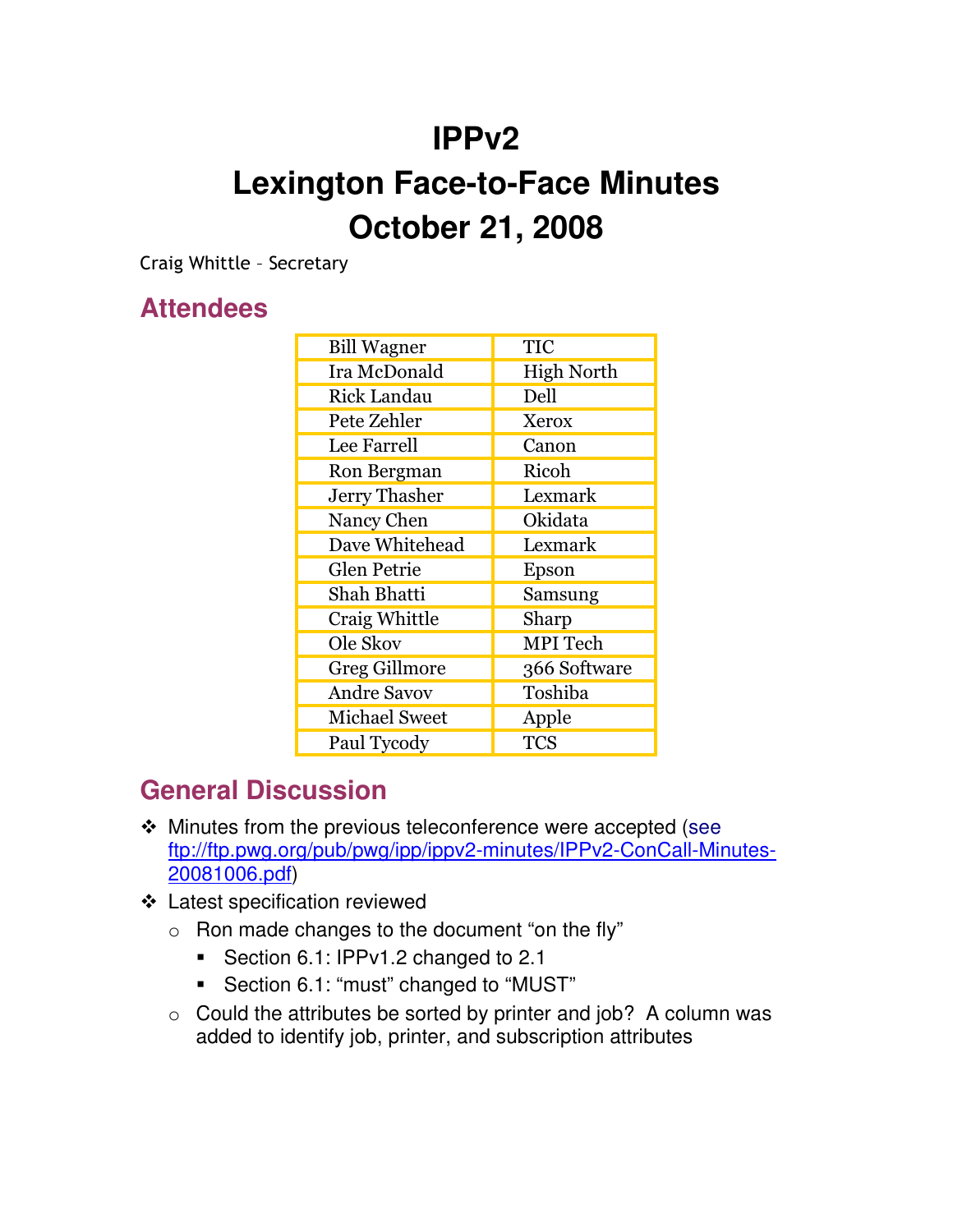## **IPPv2**

# **Lexington Face-to-Face Minutes October 21, 2008**

Craig Whittle - Secretary

#### **Attendees**

| <b>Bill Wagner</b>   | TIC               |
|----------------------|-------------------|
| Ira McDonald         | <b>High North</b> |
| <b>Rick Landau</b>   | Dell              |
| Pete Zehler          | Xerox             |
| Lee Farrell          | Canon             |
| Ron Bergman          | Ricoh             |
| <b>Jerry Thasher</b> | Lexmark           |
| Nancy Chen           | Okidata           |
| Dave Whitehead       | Lexmark           |
| <b>Glen Petrie</b>   | Epson             |
| Shah Bhatti          | Samsung           |
| Craig Whittle        | Sharp             |
| Ole Skov             | <b>MPI</b> Tech   |
| <b>Greg Gillmore</b> | 366 Software      |
| <b>Andre Savov</b>   | Toshiba           |
| <b>Michael Sweet</b> | Apple             |
| Paul Tycody          | <b>TCS</b>        |

#### **General Discussion**

- Minutes from the previous teleconference were accepted (see ftp://ftp.pwg.org/pub/pwg/ipp/ippv2-minutes/IPPv2-ConCall-Minutes-20081006.pdf)
- Latest specification reviewed
	- o Ron made changes to the document "on the fly"
		- **Section 6.1: IPPv1.2 changed to 2.1**
		- Section 6.1: "must" changed to "MUST"
	- o Could the attributes be sorted by printer and job? A column was added to identify job, printer, and subscription attributes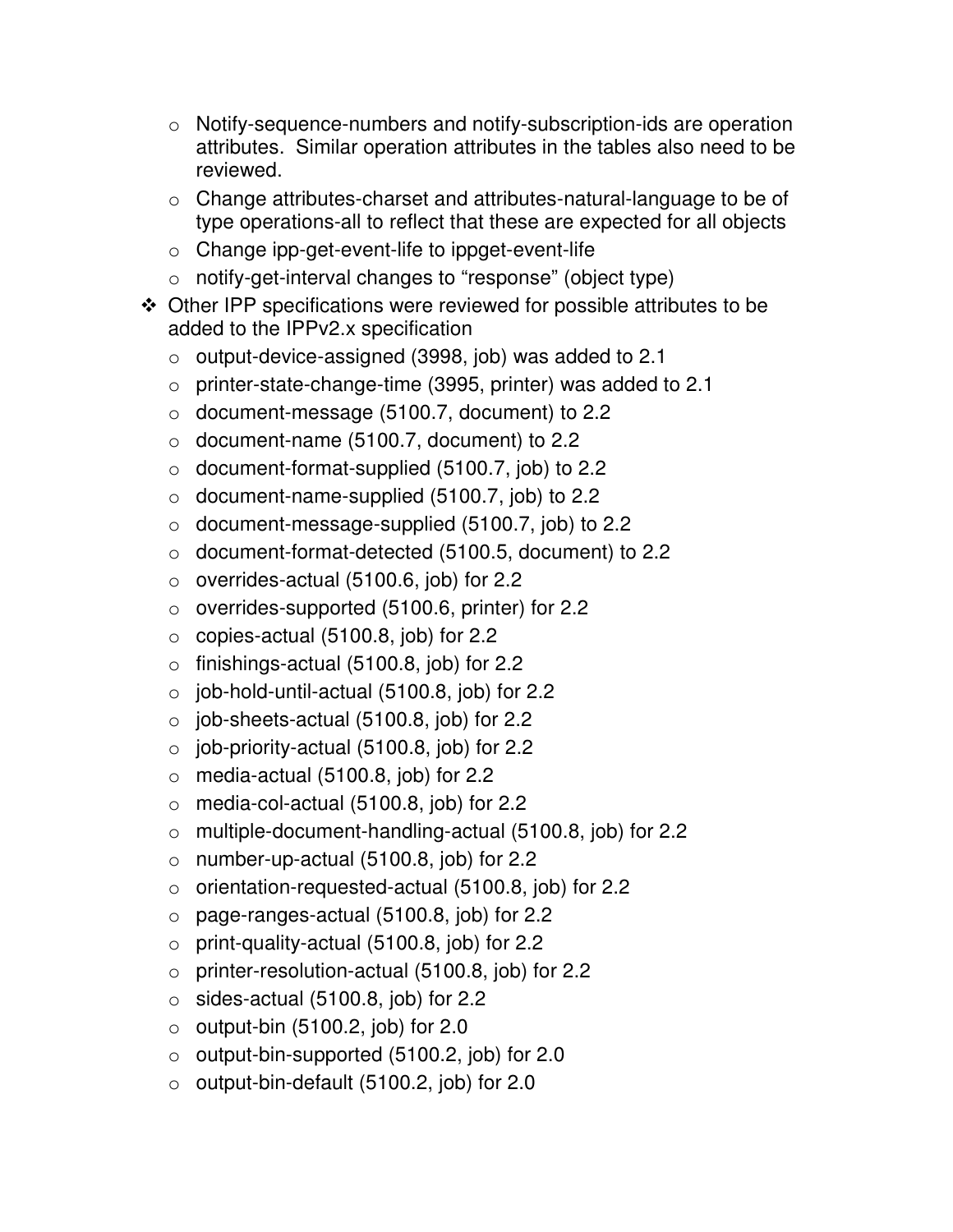- o Notify-sequence-numbers and notify-subscription-ids are operation attributes. Similar operation attributes in the tables also need to be reviewed.
- o Change attributes-charset and attributes-natural-language to be of type operations-all to reflect that these are expected for all objects
- o Change ipp-get-event-life to ippget-event-life
- o notify-get-interval changes to "response" (object type)
- Other IPP specifications were reviewed for possible attributes to be added to the IPPv2.x specification
	- o output-device-assigned (3998, job) was added to 2.1
	- $\circ$  printer-state-change-time (3995, printer) was added to 2.1
	- o document-message (5100.7, document) to 2.2
	- $\circ$  document-name (5100.7, document) to 2.2
	- $\circ$  document-format-supplied (5100.7, job) to 2.2
	- o document-name-supplied (5100.7, job) to 2.2
	- $\circ$  document-message-supplied (5100.7, job) to 2.2
	- o document-format-detected (5100.5, document) to 2.2
	- $\circ$  overrides-actual (5100.6, job) for 2.2
	- o overrides-supported (5100.6, printer) for 2.2
	- o copies-actual (5100.8, job) for 2.2
	- $\circ$  finishings-actual (5100.8, job) for 2.2
	- $\circ$  job-hold-until-actual (5100.8, job) for 2.2
	- $\circ$  job-sheets-actual (5100.8, job) for 2.2
	- $\circ$  job-priority-actual (5100.8, job) for 2.2
	- o media-actual (5100.8, job) for 2.2
	- o media-col-actual (5100.8, job) for 2.2
	- o multiple-document-handling-actual (5100.8, job) for 2.2
	- $\circ$  number-up-actual (5100.8, job) for 2.2
	- o orientation-requested-actual (5100.8, job) for 2.2
	- o page-ranges-actual (5100.8, job) for 2.2
	- $\circ$  print-quality-actual (5100.8, job) for 2.2
	- o printer-resolution-actual (5100.8, job) for 2.2
	- $\circ$  sides-actual (5100.8, job) for 2.2
	- $\circ$  output-bin (5100.2, job) for 2.0
	- o output-bin-supported (5100.2, job) for 2.0
	- $\circ$  output-bin-default (5100.2, job) for 2.0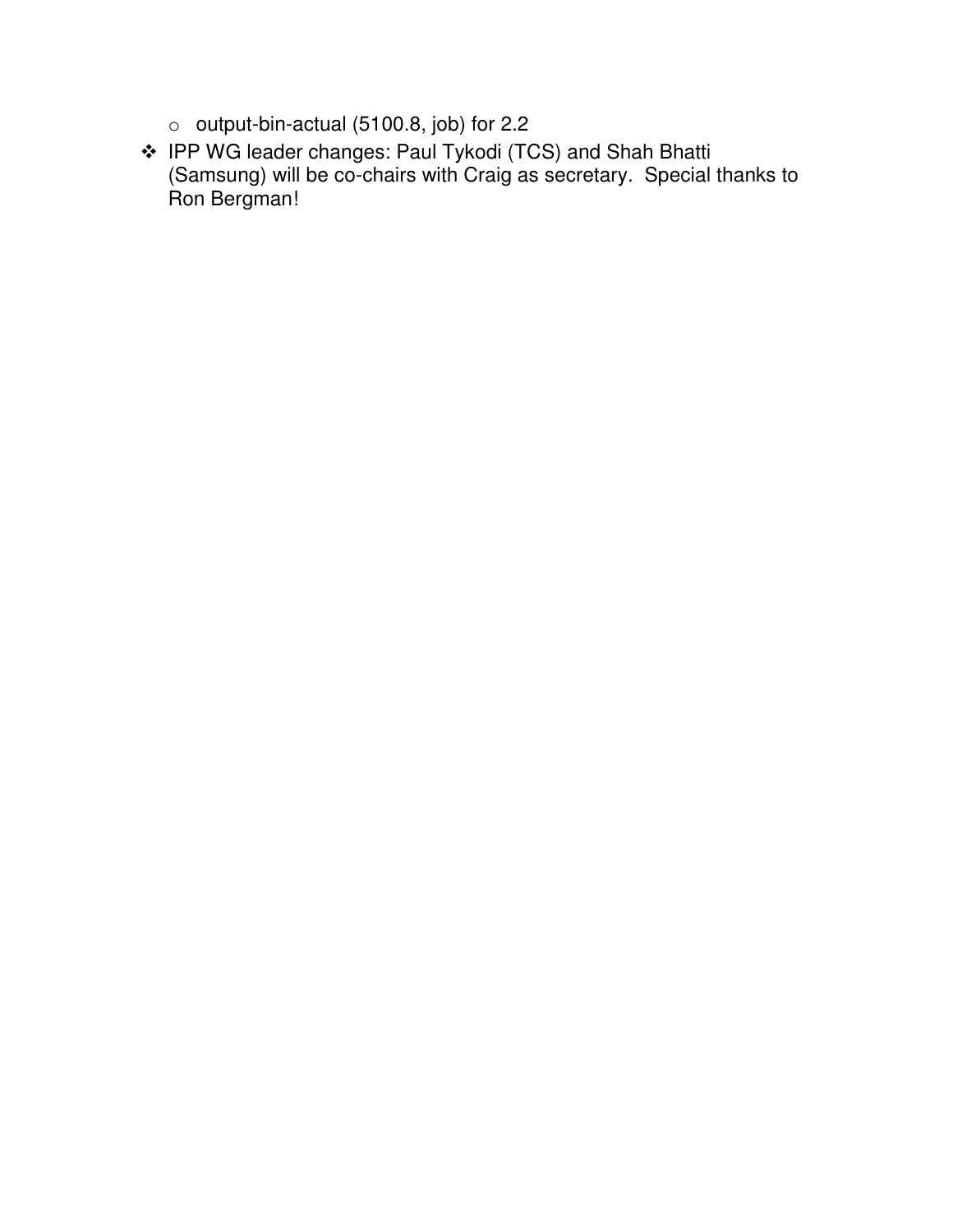- o output-bin-actual (5100.8, job) for 2.2
- IPP WG leader changes: Paul Tykodi (TCS) and Shah Bhatti (Samsung) will be co-chairs with Craig as secretary. Special thanks to Ron Bergman!